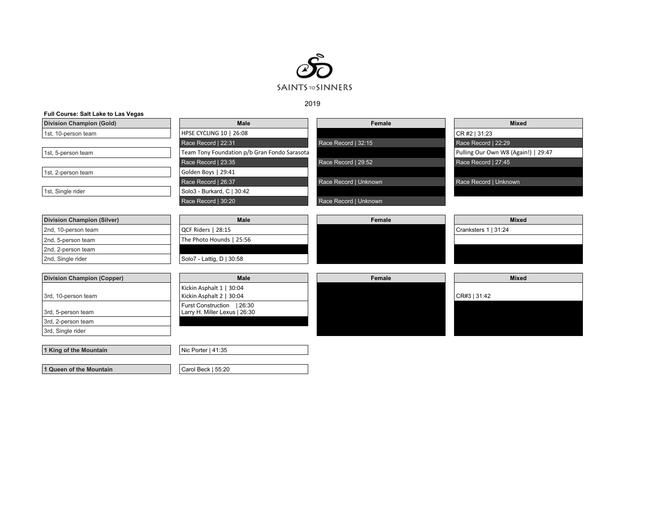

2019

| Full Course: Salt Lake to Las Vegas |                                                      |                       |                                     |
|-------------------------------------|------------------------------------------------------|-----------------------|-------------------------------------|
| <b>Division Champion (Gold)</b>     | <b>Male</b>                                          | Female                | <b>Mixed</b>                        |
| 1st, 10-person team                 | HPSE CYCLING 10   26:08                              |                       | CR #2   31:23                       |
|                                     | Race Record   22:31                                  | Race Record   32:15   | Race Record   22:29                 |
| 1st, 5-person team                  | Team Tony Foundation p/b Gran Fondo Sarasota         |                       | Pulling Our Own W8 (Again!)   29:47 |
|                                     | Race Record   23:35                                  | Race Record   29:52   | Race Record   27:45                 |
| 1st, 2-person team                  | Golden Boys   29:41                                  |                       |                                     |
|                                     | Race Record   26:37                                  | Race Record   Unknown | Race Record   Unknown               |
| 1st, Single rider                   | Solo3 - Burkard, C   30:42                           |                       |                                     |
|                                     | Race Record   30:20                                  | Race Record   Unknown |                                     |
|                                     |                                                      |                       |                                     |
| <b>Division Champion (Silver)</b>   | Male                                                 | Female                | <b>Mixed</b>                        |
| 2nd, 10-person team                 | QCF Riders   28:15                                   |                       | Cranksters 1   31:24                |
| 2nd, 5-person team                  | The Photo Hounds   25:56                             |                       |                                     |
| 2nd, 2-person team                  |                                                      |                       |                                     |
| 2nd, Single rider                   | Solo7 - Lattig, D   30:58                            |                       |                                     |
|                                     | Male                                                 |                       |                                     |
| <b>Division Champion (Copper)</b>   |                                                      | Female                | <b>Mixed</b>                        |
| 3rd, 10-person team                 | Kickin Asphalt 1   30:04<br>Kickin Asphalt 2   30:04 |                       | CR#3   31:42                        |
|                                     | Furst Construction   26:30                           |                       |                                     |
| 3rd, 5-person team                  | Larry H. Miller Lexus   26:30                        |                       |                                     |
| 3rd, 2-person team                  |                                                      |                       |                                     |
| 3rd, Single rider                   |                                                      |                       |                                     |
|                                     |                                                      |                       |                                     |
| 1 King of the Mountain              | Nic Porter   41:35                                   |                       |                                     |
|                                     |                                                      |                       |                                     |
| 1 Queen of the Mountain             | Carol Beck   55:20                                   |                       |                                     |